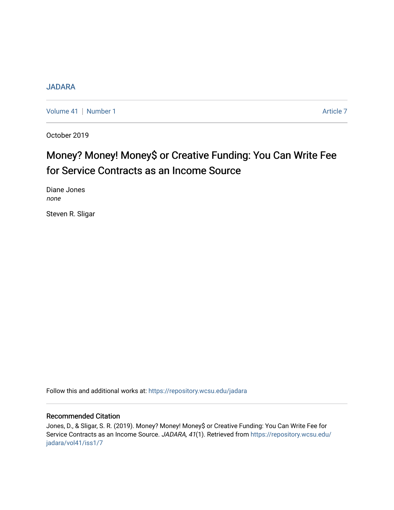## [JADARA](https://repository.wcsu.edu/jadara)

[Volume 41](https://repository.wcsu.edu/jadara/vol41) | [Number 1](https://repository.wcsu.edu/jadara/vol41/iss1) Article 7

October 2019

# Money? Money! Money\$ or Creative Funding: You Can Write Fee for Service Contracts as an Income Source

Diane Jones none

Steven R. Sligar

Follow this and additional works at: [https://repository.wcsu.edu/jadara](https://repository.wcsu.edu/jadara?utm_source=repository.wcsu.edu%2Fjadara%2Fvol41%2Fiss1%2F7&utm_medium=PDF&utm_campaign=PDFCoverPages)

## Recommended Citation

Jones, D., & Sligar, S. R. (2019). Money? Money! Money\$ or Creative Funding: You Can Write Fee for Service Contracts as an Income Source. JADARA, 41(1). Retrieved from [https://repository.wcsu.edu/](https://repository.wcsu.edu/jadara/vol41/iss1/7?utm_source=repository.wcsu.edu%2Fjadara%2Fvol41%2Fiss1%2F7&utm_medium=PDF&utm_campaign=PDFCoverPages) [jadara/vol41/iss1/7](https://repository.wcsu.edu/jadara/vol41/iss1/7?utm_source=repository.wcsu.edu%2Fjadara%2Fvol41%2Fiss1%2F7&utm_medium=PDF&utm_campaign=PDFCoverPages)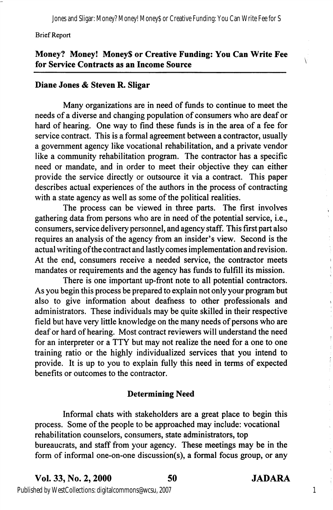#### Brief Report

## Money? Money! Money\$ or Creative Funding: You Can Write Fee for Service Contracts as an Income Source

## Diane Jones & Steven R. Sligar

Many organizations are in need of funds to continue to meet the needs of a diverse and changing population of consumers who are deaf or hard of hearing. One way to find these funds is in the area of a fee for service contract. This is a formal agreement between a contractor, usually a government agency like vocational rehabilitation, and a private vendor like a community rehabilitation program. The contractor has a specific need or mandate, and in order to meet their objective they can either provide the service directly or outsource it via a contract. This paper describes actual experiences of the authors in the process of contracting with a state agency as well as some of the political realities.

The process can be viewed in three parts. The first involves gathering data from persons who are in need of the potential service, i.e., consumers, service delivery personnel, and agency staff. This first part also requires an analysis of the agency from an insider's view. Second is the actual writing ofthe contract and lastly comes implementation and revision. At the end, consumers receive a needed service, the contractor meets mandates or requirements and the agency has funds to fulfill its mission.

There is one important up-front note to all potential contractors. As you begin this process be prepared to explain not only your program but also to give information about deafhess to other professionals and administrators. These individuals may be quite skilled in their respective field but have very little knowledge on the many needs of persons who are deaf or hard of hearing. Most contract reviewers will understand the need for an interpreter or a TTY but may not realize the need for a one to one training ratio or the highly individualized services that you intend to provide. It is up to you to explain fully this need in terms of expected benefits or outcomes to the contractor.

## Determining Need

Informal chats with stakeholders are a great place to begin this process. Some of the people to be approached may include: vocational rehabilitation counselors, consumers, state administrators, top bureaucrats, and staff from your agency. These meetings may be in the form of informal one-on-one discussion(s), a formal focus group, or any

Vol. 33, No. 2,2000 50 JADARA



1

Published by WestCollections: digitalcommons@wcsu, 2007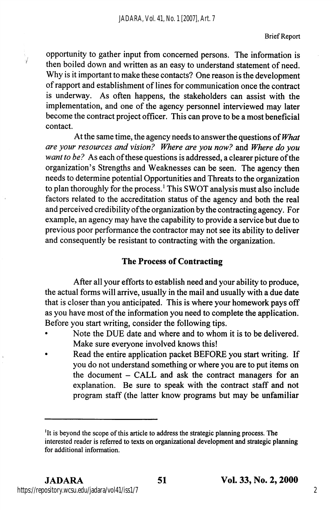opportunity to gather input from concerned persons. The information is then boiled down and written as an easy to understand statement of need. Why is it important to make these contacts? One reason is the development of rapport and establishment of lines for communication once the contract is underway. As often happens, the stakeholders can assist with the implementation, and one of the agency personnel interviewed may later become the contract project officer. This can prove to be a most beneficial contact.

At the same time, the agency needs to answer the questions of What are your resources and vision? Where are you now? and Where do you want to be? As each of these questions is addressed, a clearer picture of the organization's Strengths and Weaknesses can be seen. The agency then needs to determine potential Opportunities and Threats to the organization to plan thoroughly for the process.' This SWOT analysis must also include factors related to the accreditation status of the agency and both the real and perceived credibility ofthe organization by the contracting agency. For example, an agency may have the capability to provide a service but due to previous poor performance the contractor may not see its ability to deliver and consequently be resistant to contracting with the organization.

## The Process of Contracting

After all your efforts to establish need and your ability to produce, the actual forms will arrive, usually in the mail and usually with a due date that is closer than you anticipated. This is where your homework pays off as you have most of the information you need to complete the application. Before you start writing, consider the following tips.

- Note the DUE date and where and to whom it is to be delivered. Make sure everyone involved knows this!
- Read the entire application packet BEFORE you start writing. If you do not understand something or where you are to put items on the document - CALL and ask the contract managers for an explanation. Be sure to speak with the contract staff and not program staff (the latter know programs but may be unfamiliar

<sup>&</sup>lt;sup>1</sup>It is beyond the scope of this article to address the strategic planning process. The interested reader is referred to texts on organizational development and strategic planning for additional information.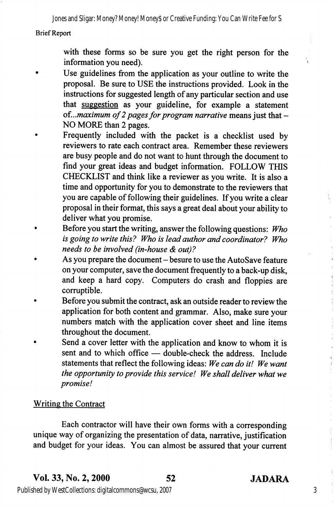Jones and Sligar: Money? Money! Money\$ or Creative Funding: You Can Write Fee for S

#### Brief Report

with these forms so be sure you get the right person for the information you need).

- Use guidelines from the application as your outline to write the proposal. Be sure to USE the instructions provided. Look in the instructions for suggested length of any particular section and use that suggestion as your guideline, for example a statement of...maximum of 2 pages for program narrative means just that  $-$ NO MORE than 2 pages.
- Frequently included with the packet is a checklist used by reviewers to rate each contract area. Remember these reviewers are busy people and do not want to hunt through the document to find your great ideas and budget information. FOLLOW THIS CHECKLIST and think like a reviewer as you write. It is also a time and opportunity for you to demonstrate to the reviewers that you are capable of following their guidelines. If you write a clear proposal in their format, this says a great deal about your ability to deliver what you promise.
- Before you start the writing, answer the following questions: Who is going to write this? Who is lead author and coordinator? Who needs to be involved (in-house & out)?
- As you prepare the document besure to use the AutoSave feature on your computer, save the document frequently to a back-up disk, and keep a hard copy. Computers do crash and floppies are corruptible.
- Before you submit the contract, ask an outside reader to review the application for both content and grammar. Also, make sure your numbers match with the application cover sheet and line items throughout the document.
- Send a cover letter with the application and know to whom it is sent and to which office — double-check the address. Include statements that reflect the following ideas: We can do it! We want the opportunity to provide this service! We shall deliver what we promise!

## Writing the Contract

Each contractor will have their own forms with a corresponding unique way of organizing the presentation of data, narrative, justification and budget for your ideas. You can almost be assured that your current

3